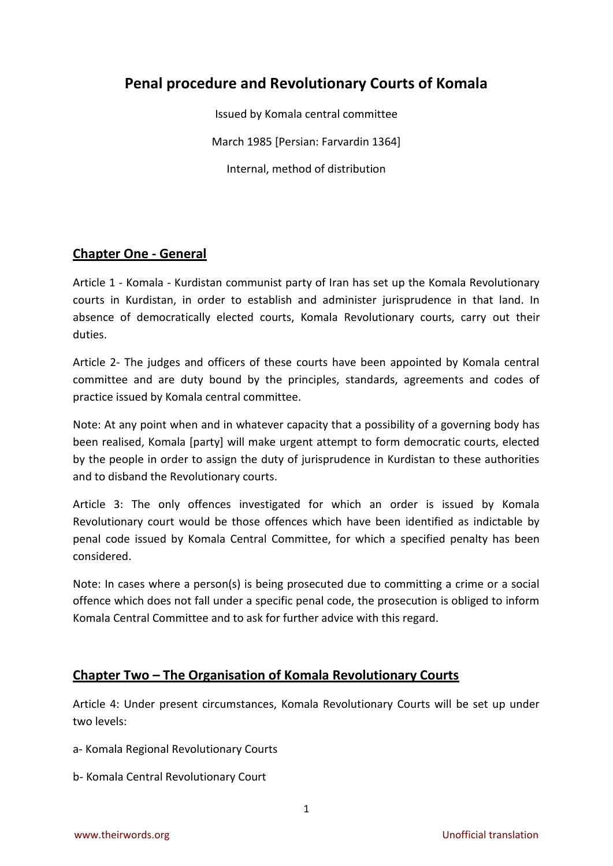# **Penal procedure and Revolutionary Courts of Komala**

Issued by Komala central committee March 1985 [Persian: Farvardin 1364] Internal, method of distribution

# **Chapter One - General**

Article 1 - Komala - Kurdistan communist party of Iran has set up the Komala Revolutionary courts in Kurdistan, in order to establish and administer jurisprudence in that land. In absence of democratically elected courts, Komala Revolutionary courts, carry out their duties.

Article 2- The judges and officers of these courts have been appointed by Komala central committee and are duty bound by the principles, standards, agreements and codes of practice issued by Komala central committee.

Note: At any point when and in whatever capacity that a possibility of a governing body has been realised, Komala [party] will make urgent attempt to form democratic courts, elected by the people in order to assign the duty of jurisprudence in Kurdistan to these authorities and to disband the Revolutionary courts.

Article 3: The only offences investigated for which an order is issued by Komala Revolutionary court would be those offences which have been identified as indictable by penal code issued by Komala Central Committee, for which a specified penalty has been considered.

Note: In cases where a person(s) is being prosecuted due to committing a crime or a social offence which does not fall under a specific penal code, the prosecution is obliged to inform Komala Central Committee and to ask for further advice with this regard.

# **Chapter Two – The Organisation of Komala Revolutionary Courts**

Article 4: Under present circumstances, Komala Revolutionary Courts will be set up under two levels:

- a- Komala Regional Revolutionary Courts
- b- Komala Central Revolutionary Court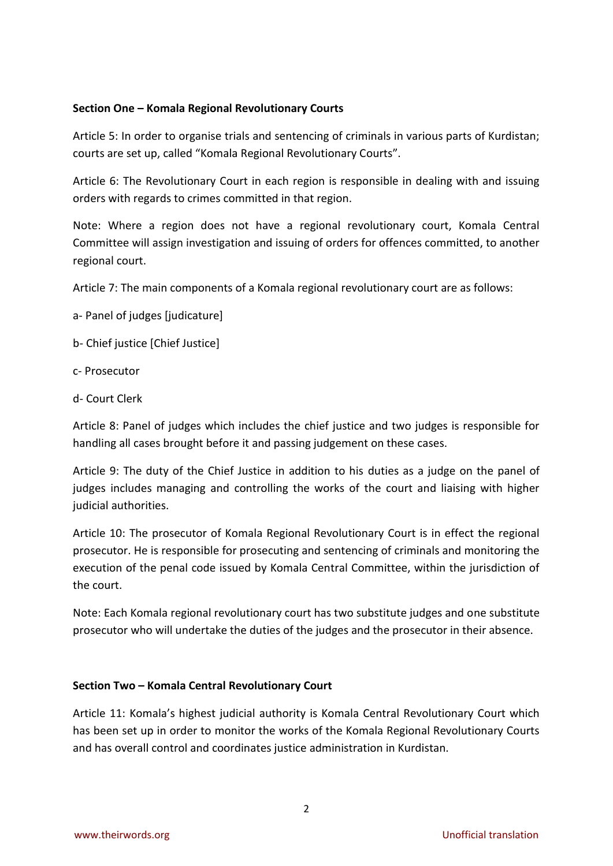### **Section One – Komala Regional Revolutionary Courts**

Article 5: In order to organise trials and sentencing of criminals in various parts of Kurdistan; courts are set up, called "Komala Regional Revolutionary Courts".

Article 6: The Revolutionary Court in each region is responsible in dealing with and issuing orders with regards to crimes committed in that region.

Note: Where a region does not have a regional revolutionary court, Komala Central Committee will assign investigation and issuing of orders for offences committed, to another regional court.

Article 7: The main components of a Komala regional revolutionary court are as follows:

- a- Panel of judges [judicature]
- b- Chief justice [Chief Justice]
- c- Prosecutor
- d- Court Clerk

Article 8: Panel of judges which includes the chief justice and two judges is responsible for handling all cases brought before it and passing judgement on these cases.

Article 9: The duty of the Chief Justice in addition to his duties as a judge on the panel of judges includes managing and controlling the works of the court and liaising with higher judicial authorities.

Article 10: The prosecutor of Komala Regional Revolutionary Court is in effect the regional prosecutor. He is responsible for prosecuting and sentencing of criminals and monitoring the execution of the penal code issued by Komala Central Committee, within the jurisdiction of the court.

Note: Each Komala regional revolutionary court has two substitute judges and one substitute prosecutor who will undertake the duties of the judges and the prosecutor in their absence.

#### **Section Two – Komala Central Revolutionary Court**

Article 11: Komala's highest judicial authority is Komala Central Revolutionary Court which has been set up in order to monitor the works of the Komala Regional Revolutionary Courts and has overall control and coordinates justice administration in Kurdistan.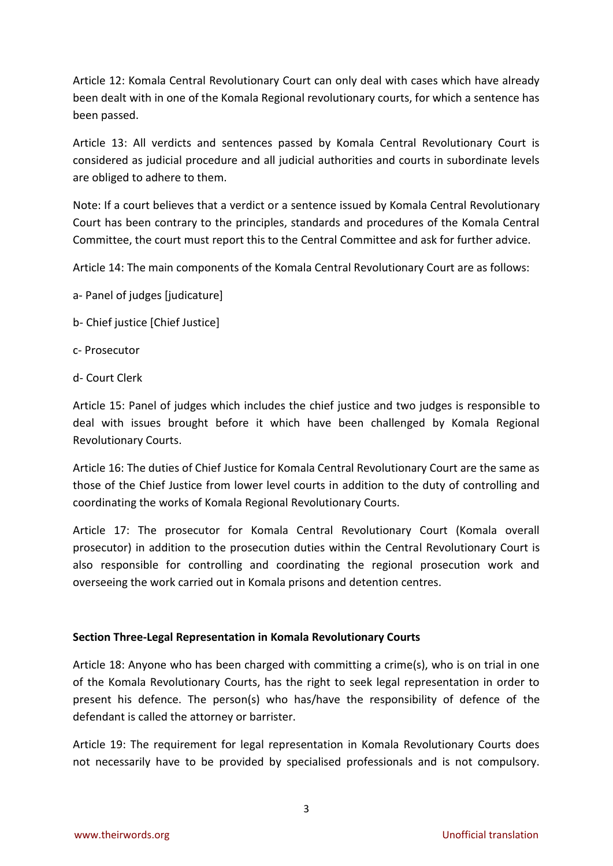Article 12: Komala Central Revolutionary Court can only deal with cases which have already been dealt with in one of the Komala Regional revolutionary courts, for which a sentence has been passed.

Article 13: All verdicts and sentences passed by Komala Central Revolutionary Court is considered as judicial procedure and all judicial authorities and courts in subordinate levels are obliged to adhere to them.

Note: If a court believes that a verdict or a sentence issued by Komala Central Revolutionary Court has been contrary to the principles, standards and procedures of the Komala Central Committee, the court must report this to the Central Committee and ask for further advice.

Article 14: The main components of the Komala Central Revolutionary Court are as follows:

- a- Panel of judges [judicature]
- b- Chief justice [Chief Justice]
- c- Prosecutor
- d- Court Clerk

Article 15: Panel of judges which includes the chief justice and two judges is responsible to deal with issues brought before it which have been challenged by Komala Regional Revolutionary Courts.

Article 16: The duties of Chief Justice for Komala Central Revolutionary Court are the same as those of the Chief Justice from lower level courts in addition to the duty of controlling and coordinating the works of Komala Regional Revolutionary Courts.

Article 17: The prosecutor for Komala Central Revolutionary Court (Komala overall prosecutor) in addition to the prosecution duties within the Central Revolutionary Court is also responsible for controlling and coordinating the regional prosecution work and overseeing the work carried out in Komala prisons and detention centres.

## **Section Three-Legal Representation in Komala Revolutionary Courts**

Article 18: Anyone who has been charged with committing a crime(s), who is on trial in one of the Komala Revolutionary Courts, has the right to seek legal representation in order to present his defence. The person(s) who has/have the responsibility of defence of the defendant is called the attorney or barrister.

Article 19: The requirement for legal representation in Komala Revolutionary Courts does not necessarily have to be provided by specialised professionals and is not compulsory.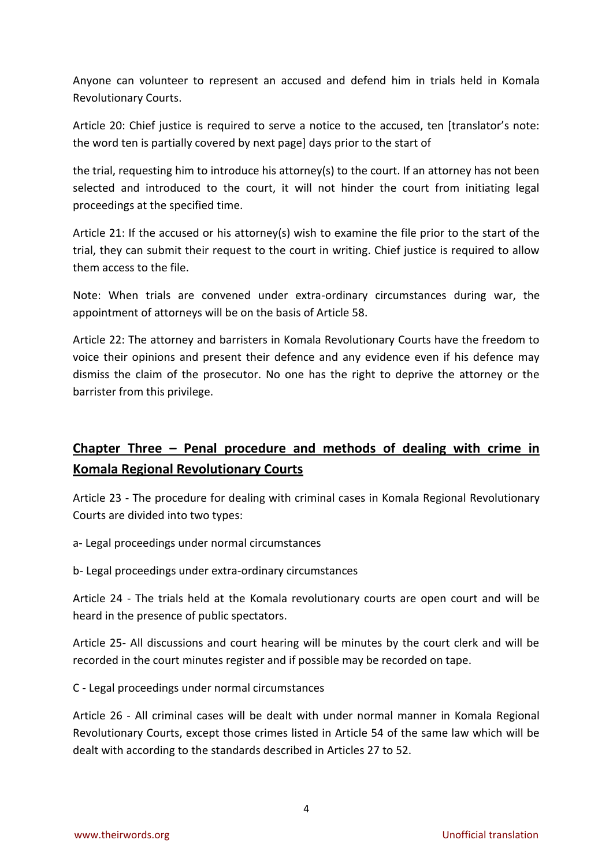Anyone can volunteer to represent an accused and defend him in trials held in Komala Revolutionary Courts.

Article 20: Chief justice is required to serve a notice to the accused, ten [translator's note: the word ten is partially covered by next page] days prior to the start of

the trial, requesting him to introduce his attorney(s) to the court. If an attorney has not been selected and introduced to the court, it will not hinder the court from initiating legal proceedings at the specified time.

Article 21: If the accused or his attorney(s) wish to examine the file prior to the start of the trial, they can submit their request to the court in writing. Chief justice is required to allow them access to the file.

Note: When trials are convened under extra-ordinary circumstances during war, the appointment of attorneys will be on the basis of Article 58.

Article 22: The attorney and barristers in Komala Revolutionary Courts have the freedom to voice their opinions and present their defence and any evidence even if his defence may dismiss the claim of the prosecutor. No one has the right to deprive the attorney or the barrister from this privilege.

# **Chapter Three – Penal procedure and methods of dealing with crime in Komala Regional Revolutionary Courts**

Article 23 - The procedure for dealing with criminal cases in Komala Regional Revolutionary Courts are divided into two types:

a- Legal proceedings under normal circumstances

b- Legal proceedings under extra-ordinary circumstances

Article 24 - The trials held at the Komala revolutionary courts are open court and will be heard in the presence of public spectators.

Article 25- All discussions and court hearing will be minutes by the court clerk and will be recorded in the court minutes register and if possible may be recorded on tape.

C - Legal proceedings under normal circumstances

Article 26 - All criminal cases will be dealt with under normal manner in Komala Regional Revolutionary Courts, except those crimes listed in Article 54 of the same law which will be dealt with according to the standards described in Articles 27 to 52.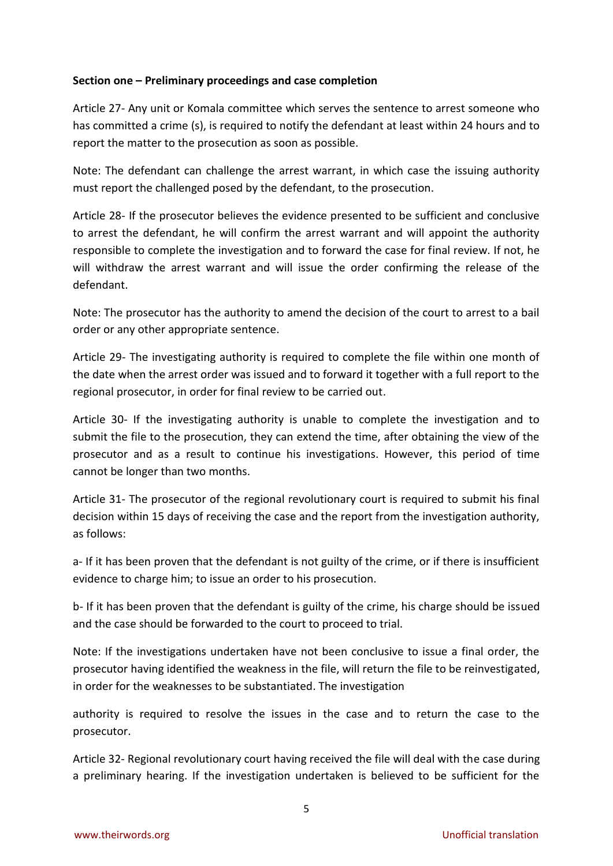### **Section one – Preliminary proceedings and case completion**

Article 27- Any unit or Komala committee which serves the sentence to arrest someone who has committed a crime (s), is required to notify the defendant at least within 24 hours and to report the matter to the prosecution as soon as possible.

Note: The defendant can challenge the arrest warrant, in which case the issuing authority must report the challenged posed by the defendant, to the prosecution.

Article 28- If the prosecutor believes the evidence presented to be sufficient and conclusive to arrest the defendant, he will confirm the arrest warrant and will appoint the authority responsible to complete the investigation and to forward the case for final review. If not, he will withdraw the arrest warrant and will issue the order confirming the release of the defendant.

Note: The prosecutor has the authority to amend the decision of the court to arrest to a bail order or any other appropriate sentence.

Article 29- The investigating authority is required to complete the file within one month of the date when the arrest order was issued and to forward it together with a full report to the regional prosecutor, in order for final review to be carried out.

Article 30- If the investigating authority is unable to complete the investigation and to submit the file to the prosecution, they can extend the time, after obtaining the view of the prosecutor and as a result to continue his investigations. However, this period of time cannot be longer than two months.

Article 31- The prosecutor of the regional revolutionary court is required to submit his final decision within 15 days of receiving the case and the report from the investigation authority, as follows:

a- If it has been proven that the defendant is not guilty of the crime, or if there is insufficient evidence to charge him; to issue an order to his prosecution.

b- If it has been proven that the defendant is guilty of the crime, his charge should be issued and the case should be forwarded to the court to proceed to trial.

Note: If the investigations undertaken have not been conclusive to issue a final order, the prosecutor having identified the weakness in the file, will return the file to be reinvestigated, in order for the weaknesses to be substantiated. The investigation

authority is required to resolve the issues in the case and to return the case to the prosecutor.

Article 32- Regional revolutionary court having received the file will deal with the case during a preliminary hearing. If the investigation undertaken is believed to be sufficient for the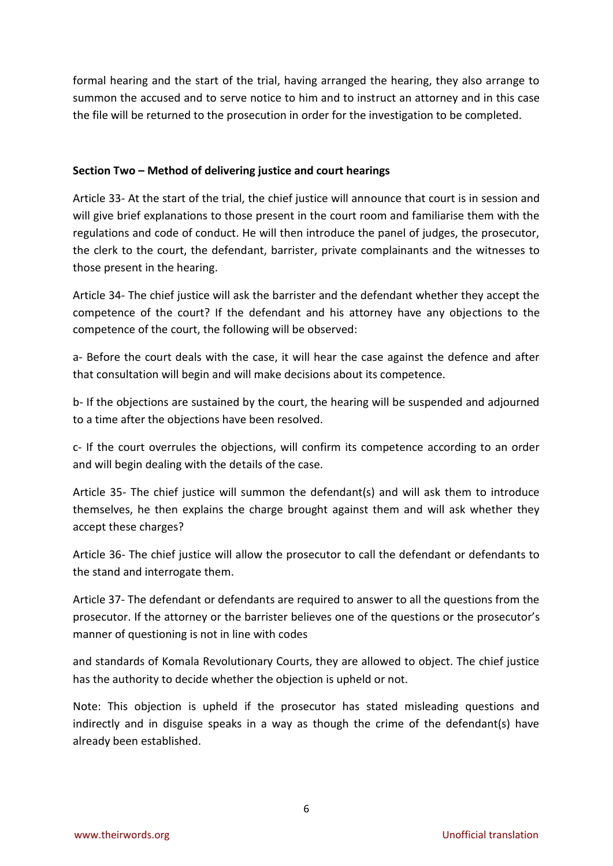formal hearing and the start of the trial, having arranged the hearing, they also arrange to summon the accused and to serve notice to him and to instruct an attorney and in this case the file will be returned to the prosecution in order for the investigation to be completed.

### **Section Two – Method of delivering justice and court hearings**

Article 33- At the start of the trial, the chief justice will announce that court is in session and will give brief explanations to those present in the court room and familiarise them with the regulations and code of conduct. He will then introduce the panel of judges, the prosecutor, the clerk to the court, the defendant, barrister, private complainants and the witnesses to those present in the hearing.

Article 34- The chief justice will ask the barrister and the defendant whether they accept the competence of the court? If the defendant and his attorney have any objections to the competence of the court, the following will be observed:

a- Before the court deals with the case, it will hear the case against the defence and after that consultation will begin and will make decisions about its competence.

b- If the objections are sustained by the court, the hearing will be suspended and adjourned to a time after the objections have been resolved.

c- If the court overrules the objections, will confirm its competence according to an order and will begin dealing with the details of the case.

Article 35- The chief justice will summon the defendant(s) and will ask them to introduce themselves, he then explains the charge brought against them and will ask whether they accept these charges?

Article 36- The chief justice will allow the prosecutor to call the defendant or defendants to the stand and interrogate them.

Article 37- The defendant or defendants are required to answer to all the questions from the prosecutor. If the attorney or the barrister believes one of the questions or the prosecutor's manner of questioning is not in line with codes

and standards of Komala Revolutionary Courts, they are allowed to object. The chief justice has the authority to decide whether the objection is upheld or not.

Note: This objection is upheld if the prosecutor has stated misleading questions and indirectly and in disguise speaks in a way as though the crime of the defendant(s) have already been established.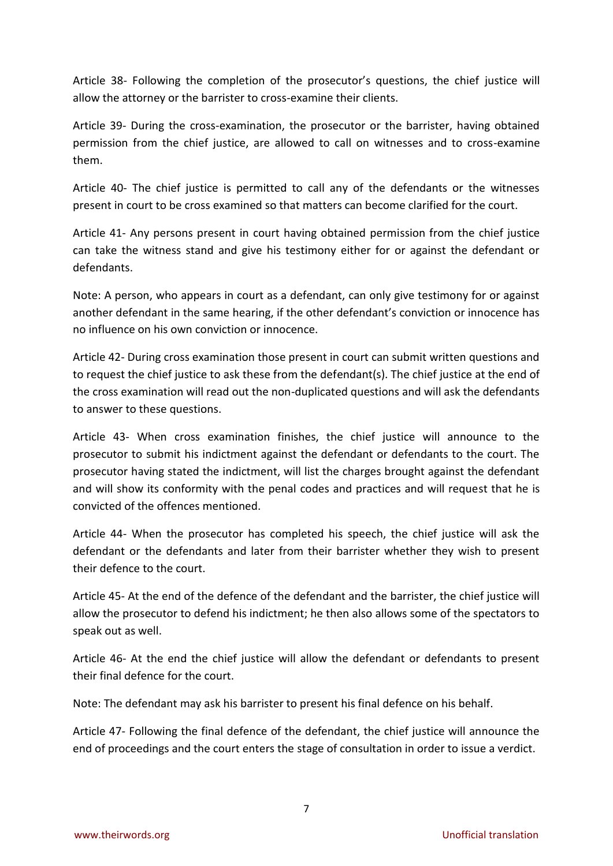Article 38- Following the completion of the prosecutor's questions, the chief justice will allow the attorney or the barrister to cross-examine their clients.

Article 39- During the cross-examination, the prosecutor or the barrister, having obtained permission from the chief justice, are allowed to call on witnesses and to cross-examine them.

Article 40- The chief justice is permitted to call any of the defendants or the witnesses present in court to be cross examined so that matters can become clarified for the court.

Article 41- Any persons present in court having obtained permission from the chief justice can take the witness stand and give his testimony either for or against the defendant or defendants.

Note: A person, who appears in court as a defendant, can only give testimony for or against another defendant in the same hearing, if the other defendant's conviction or innocence has no influence on his own conviction or innocence.

Article 42- During cross examination those present in court can submit written questions and to request the chief justice to ask these from the defendant(s). The chief justice at the end of the cross examination will read out the non-duplicated questions and will ask the defendants to answer to these questions.

Article 43- When cross examination finishes, the chief justice will announce to the prosecutor to submit his indictment against the defendant or defendants to the court. The prosecutor having stated the indictment, will list the charges brought against the defendant and will show its conformity with the penal codes and practices and will request that he is convicted of the offences mentioned.

Article 44- When the prosecutor has completed his speech, the chief justice will ask the defendant or the defendants and later from their barrister whether they wish to present their defence to the court.

Article 45- At the end of the defence of the defendant and the barrister, the chief justice will allow the prosecutor to defend his indictment; he then also allows some of the spectators to speak out as well.

Article 46- At the end the chief justice will allow the defendant or defendants to present their final defence for the court.

Note: The defendant may ask his barrister to present his final defence on his behalf.

Article 47- Following the final defence of the defendant, the chief justice will announce the end of proceedings and the court enters the stage of consultation in order to issue a verdict.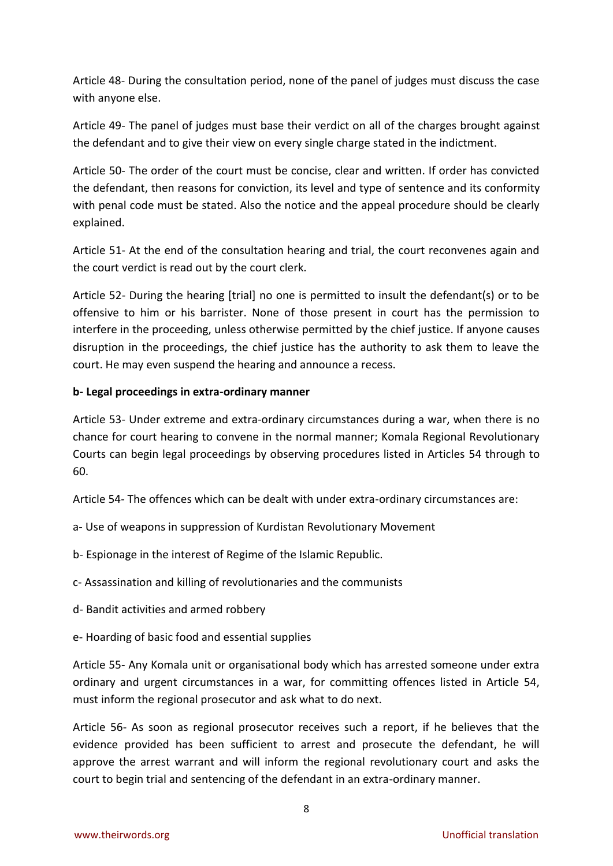Article 48- During the consultation period, none of the panel of judges must discuss the case with anyone else.

Article 49- The panel of judges must base their verdict on all of the charges brought against the defendant and to give their view on every single charge stated in the indictment.

Article 50- The order of the court must be concise, clear and written. If order has convicted the defendant, then reasons for conviction, its level and type of sentence and its conformity with penal code must be stated. Also the notice and the appeal procedure should be clearly explained.

Article 51- At the end of the consultation hearing and trial, the court reconvenes again and the court verdict is read out by the court clerk.

Article 52- During the hearing [trial] no one is permitted to insult the defendant(s) or to be offensive to him or his barrister. None of those present in court has the permission to interfere in the proceeding, unless otherwise permitted by the chief justice. If anyone causes disruption in the proceedings, the chief justice has the authority to ask them to leave the court. He may even suspend the hearing and announce a recess.

### **b- Legal proceedings in extra-ordinary manner**

Article 53- Under extreme and extra-ordinary circumstances during a war, when there is no chance for court hearing to convene in the normal manner; Komala Regional Revolutionary Courts can begin legal proceedings by observing procedures listed in Articles 54 through to 60.

Article 54- The offences which can be dealt with under extra-ordinary circumstances are:

- a- Use of weapons in suppression of Kurdistan Revolutionary Movement
- b- Espionage in the interest of Regime of the Islamic Republic.
- c- Assassination and killing of revolutionaries and the communists
- d- Bandit activities and armed robbery
- e- Hoarding of basic food and essential supplies

Article 55- Any Komala unit or organisational body which has arrested someone under extra ordinary and urgent circumstances in a war, for committing offences listed in Article 54, must inform the regional prosecutor and ask what to do next.

Article 56- As soon as regional prosecutor receives such a report, if he believes that the evidence provided has been sufficient to arrest and prosecute the defendant, he will approve the arrest warrant and will inform the regional revolutionary court and asks the court to begin trial and sentencing of the defendant in an extra-ordinary manner.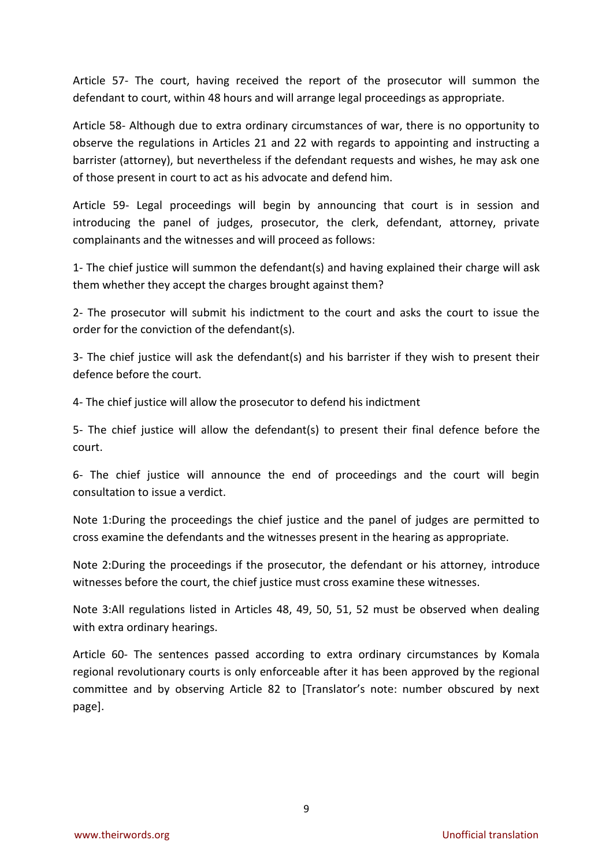Article 57- The court, having received the report of the prosecutor will summon the defendant to court, within 48 hours and will arrange legal proceedings as appropriate.

Article 58- Although due to extra ordinary circumstances of war, there is no opportunity to observe the regulations in Articles 21 and 22 with regards to appointing and instructing a barrister (attorney), but nevertheless if the defendant requests and wishes, he may ask one of those present in court to act as his advocate and defend him.

Article 59- Legal proceedings will begin by announcing that court is in session and introducing the panel of judges, prosecutor, the clerk, defendant, attorney, private complainants and the witnesses and will proceed as follows:

1- The chief justice will summon the defendant(s) and having explained their charge will ask them whether they accept the charges brought against them?

2- The prosecutor will submit his indictment to the court and asks the court to issue the order for the conviction of the defendant(s).

3- The chief justice will ask the defendant(s) and his barrister if they wish to present their defence before the court.

4- The chief justice will allow the prosecutor to defend his indictment

5- The chief justice will allow the defendant(s) to present their final defence before the court.

6- The chief justice will announce the end of proceedings and the court will begin consultation to issue a verdict.

Note 1:During the proceedings the chief justice and the panel of judges are permitted to cross examine the defendants and the witnesses present in the hearing as appropriate.

Note 2:During the proceedings if the prosecutor, the defendant or his attorney, introduce witnesses before the court, the chief justice must cross examine these witnesses.

Note 3:All regulations listed in Articles 48, 49, 50, 51, 52 must be observed when dealing with extra ordinary hearings.

Article 60- The sentences passed according to extra ordinary circumstances by Komala regional revolutionary courts is only enforceable after it has been approved by the regional committee and by observing Article 82 to [Translator's note: number obscured by next page].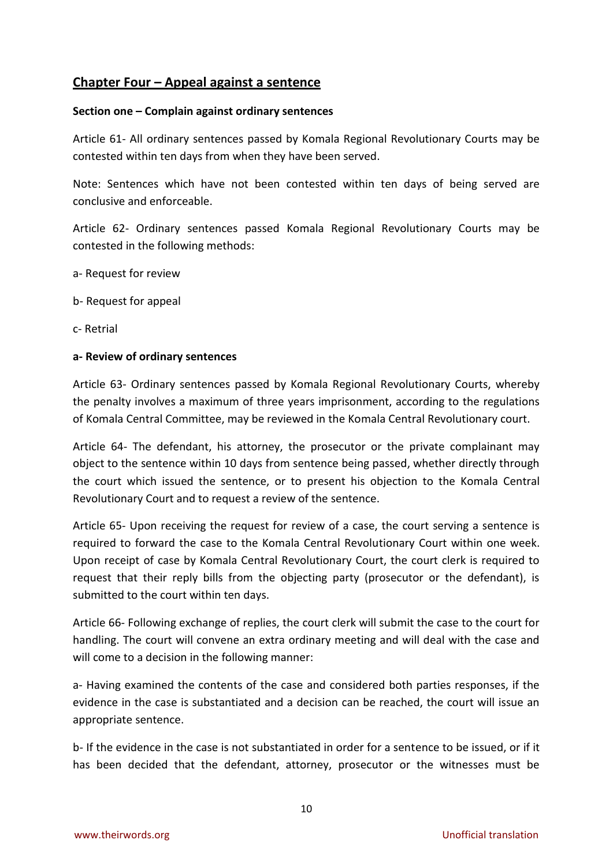# **Chapter Four – Appeal against a sentence**

#### **Section one – Complain against ordinary sentences**

Article 61- All ordinary sentences passed by Komala Regional Revolutionary Courts may be contested within ten days from when they have been served.

Note: Sentences which have not been contested within ten days of being served are conclusive and enforceable.

Article 62- Ordinary sentences passed Komala Regional Revolutionary Courts may be contested in the following methods:

- a- Request for review
- b- Request for appeal
- c- Retrial

#### **a- Review of ordinary sentences**

Article 63- Ordinary sentences passed by Komala Regional Revolutionary Courts, whereby the penalty involves a maximum of three years imprisonment, according to the regulations of Komala Central Committee, may be reviewed in the Komala Central Revolutionary court.

Article 64- The defendant, his attorney, the prosecutor or the private complainant may object to the sentence within 10 days from sentence being passed, whether directly through the court which issued the sentence, or to present his objection to the Komala Central Revolutionary Court and to request a review of the sentence.

Article 65- Upon receiving the request for review of a case, the court serving a sentence is required to forward the case to the Komala Central Revolutionary Court within one week. Upon receipt of case by Komala Central Revolutionary Court, the court clerk is required to request that their reply bills from the objecting party (prosecutor or the defendant), is submitted to the court within ten days.

Article 66- Following exchange of replies, the court clerk will submit the case to the court for handling. The court will convene an extra ordinary meeting and will deal with the case and will come to a decision in the following manner:

a- Having examined the contents of the case and considered both parties responses, if the evidence in the case is substantiated and a decision can be reached, the court will issue an appropriate sentence.

b- If the evidence in the case is not substantiated in order for a sentence to be issued, or if it has been decided that the defendant, attorney, prosecutor or the witnesses must be

10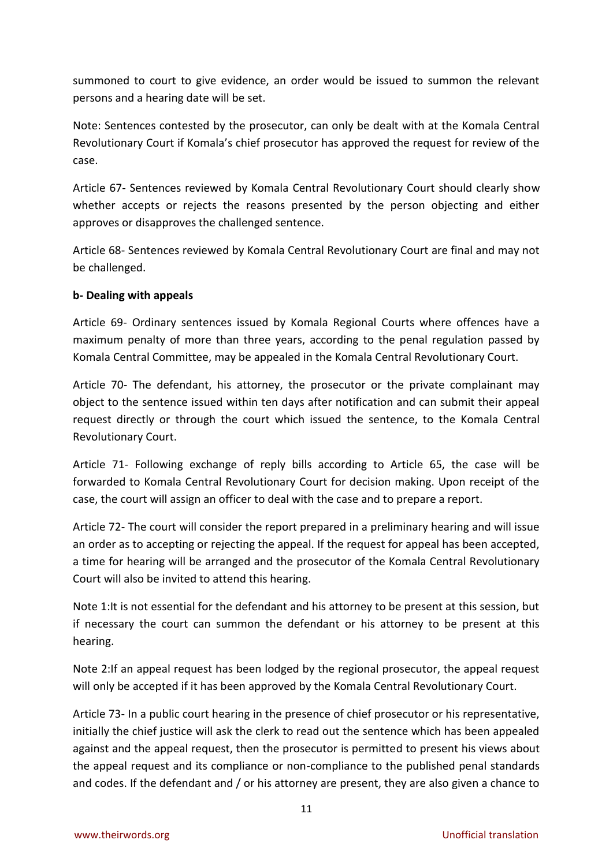summoned to court to give evidence, an order would be issued to summon the relevant persons and a hearing date will be set.

Note: Sentences contested by the prosecutor, can only be dealt with at the Komala Central Revolutionary Court if Komala's chief prosecutor has approved the request for review of the case.

Article 67- Sentences reviewed by Komala Central Revolutionary Court should clearly show whether accepts or rejects the reasons presented by the person objecting and either approves or disapproves the challenged sentence.

Article 68- Sentences reviewed by Komala Central Revolutionary Court are final and may not be challenged.

### **b- Dealing with appeals**

Article 69- Ordinary sentences issued by Komala Regional Courts where offences have a maximum penalty of more than three years, according to the penal regulation passed by Komala Central Committee, may be appealed in the Komala Central Revolutionary Court.

Article 70- The defendant, his attorney, the prosecutor or the private complainant may object to the sentence issued within ten days after notification and can submit their appeal request directly or through the court which issued the sentence, to the Komala Central Revolutionary Court.

Article 71- Following exchange of reply bills according to Article 65, the case will be forwarded to Komala Central Revolutionary Court for decision making. Upon receipt of the case, the court will assign an officer to deal with the case and to prepare a report.

Article 72- The court will consider the report prepared in a preliminary hearing and will issue an order as to accepting or rejecting the appeal. If the request for appeal has been accepted, a time for hearing will be arranged and the prosecutor of the Komala Central Revolutionary Court will also be invited to attend this hearing.

Note 1:It is not essential for the defendant and his attorney to be present at this session, but if necessary the court can summon the defendant or his attorney to be present at this hearing.

Note 2:If an appeal request has been lodged by the regional prosecutor, the appeal request will only be accepted if it has been approved by the Komala Central Revolutionary Court.

Article 73- In a public court hearing in the presence of chief prosecutor or his representative, initially the chief justice will ask the clerk to read out the sentence which has been appealed against and the appeal request, then the prosecutor is permitted to present his views about the appeal request and its compliance or non-compliance to the published penal standards and codes. If the defendant and / or his attorney are present, they are also given a chance to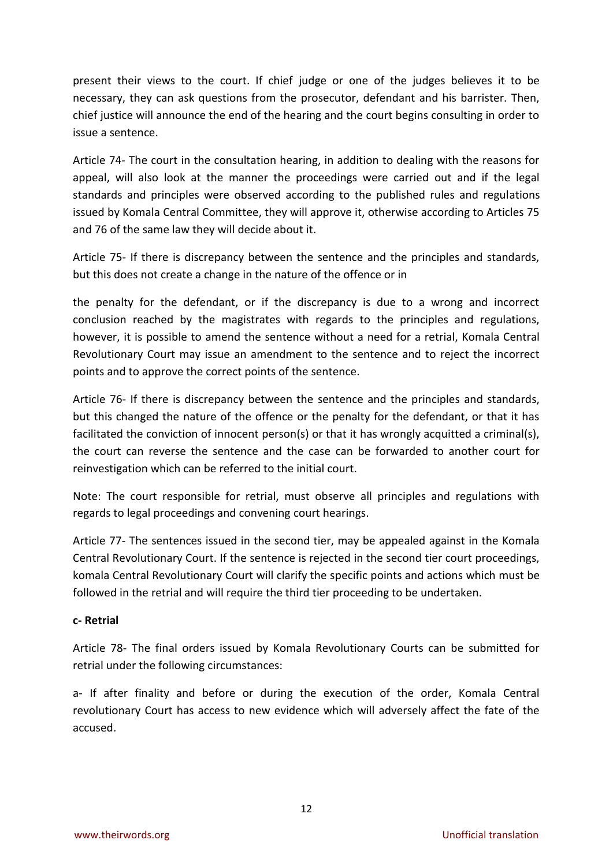present their views to the court. If chief judge or one of the judges believes it to be necessary, they can ask questions from the prosecutor, defendant and his barrister. Then, chief justice will announce the end of the hearing and the court begins consulting in order to issue a sentence.

Article 74- The court in the consultation hearing, in addition to dealing with the reasons for appeal, will also look at the manner the proceedings were carried out and if the legal standards and principles were observed according to the published rules and regulations issued by Komala Central Committee, they will approve it, otherwise according to Articles 75 and 76 of the same law they will decide about it.

Article 75- If there is discrepancy between the sentence and the principles and standards, but this does not create a change in the nature of the offence or in

the penalty for the defendant, or if the discrepancy is due to a wrong and incorrect conclusion reached by the magistrates with regards to the principles and regulations, however, it is possible to amend the sentence without a need for a retrial, Komala Central Revolutionary Court may issue an amendment to the sentence and to reject the incorrect points and to approve the correct points of the sentence.

Article 76- If there is discrepancy between the sentence and the principles and standards, but this changed the nature of the offence or the penalty for the defendant, or that it has facilitated the conviction of innocent person(s) or that it has wrongly acquitted a criminal(s), the court can reverse the sentence and the case can be forwarded to another court for reinvestigation which can be referred to the initial court.

Note: The court responsible for retrial, must observe all principles and regulations with regards to legal proceedings and convening court hearings.

Article 77- The sentences issued in the second tier, may be appealed against in the Komala Central Revolutionary Court. If the sentence is rejected in the second tier court proceedings, komala Central Revolutionary Court will clarify the specific points and actions which must be followed in the retrial and will require the third tier proceeding to be undertaken.

#### **c- Retrial**

Article 78- The final orders issued by Komala Revolutionary Courts can be submitted for retrial under the following circumstances:

a- If after finality and before or during the execution of the order, Komala Central revolutionary Court has access to new evidence which will adversely affect the fate of the accused.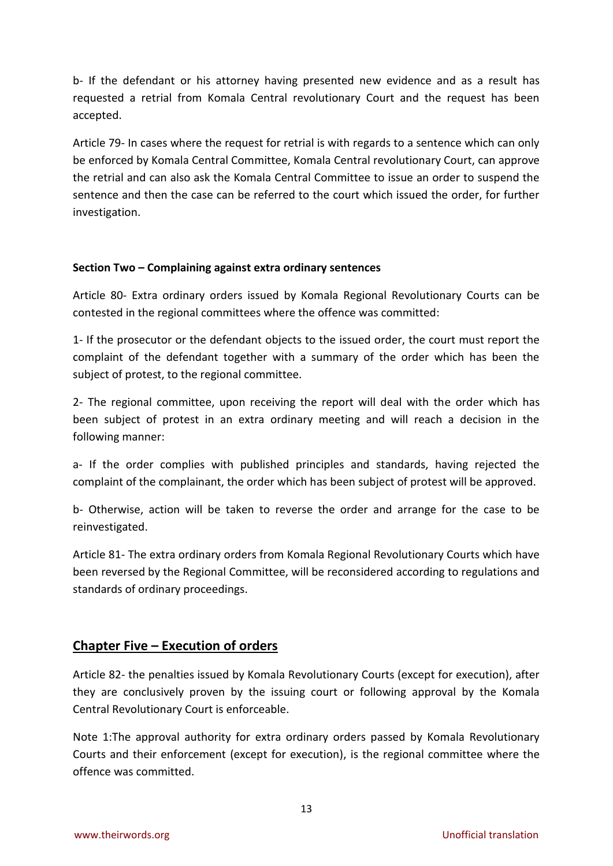b- If the defendant or his attorney having presented new evidence and as a result has requested a retrial from Komala Central revolutionary Court and the request has been accepted.

Article 79- In cases where the request for retrial is with regards to a sentence which can only be enforced by Komala Central Committee, Komala Central revolutionary Court, can approve the retrial and can also ask the Komala Central Committee to issue an order to suspend the sentence and then the case can be referred to the court which issued the order, for further investigation.

## **Section Two – Complaining against extra ordinary sentences**

Article 80- Extra ordinary orders issued by Komala Regional Revolutionary Courts can be contested in the regional committees where the offence was committed:

1- If the prosecutor or the defendant objects to the issued order, the court must report the complaint of the defendant together with a summary of the order which has been the subject of protest, to the regional committee.

2- The regional committee, upon receiving the report will deal with the order which has been subject of protest in an extra ordinary meeting and will reach a decision in the following manner:

a- If the order complies with published principles and standards, having rejected the complaint of the complainant, the order which has been subject of protest will be approved.

b- Otherwise, action will be taken to reverse the order and arrange for the case to be reinvestigated.

Article 81- The extra ordinary orders from Komala Regional Revolutionary Courts which have been reversed by the Regional Committee, will be reconsidered according to regulations and standards of ordinary proceedings.

# **Chapter Five – Execution of orders**

Article 82- the penalties issued by Komala Revolutionary Courts (except for execution), after they are conclusively proven by the issuing court or following approval by the Komala Central Revolutionary Court is enforceable.

Note 1:The approval authority for extra ordinary orders passed by Komala Revolutionary Courts and their enforcement (except for execution), is the regional committee where the offence was committed.